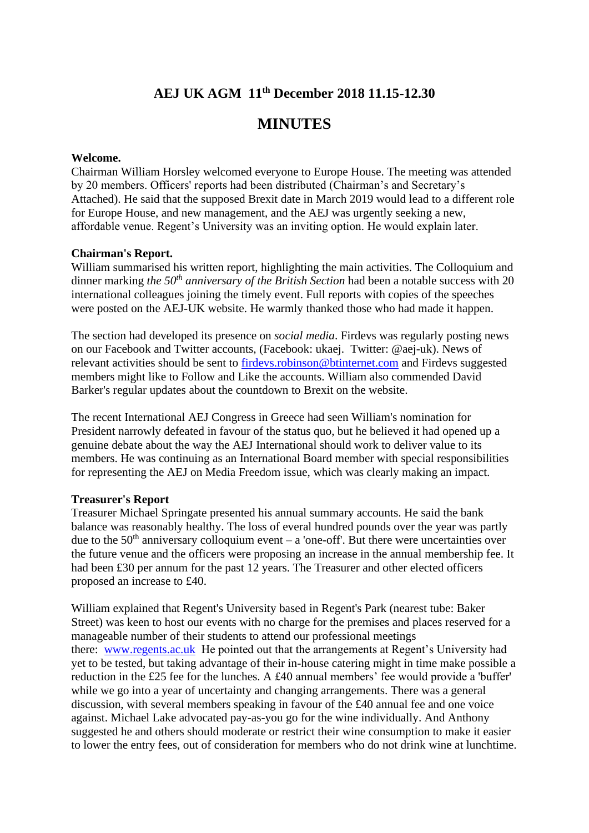# **AEJ UK AGM 11th December 2018 11.15-12.30**

## **MINUTES**

#### **Welcome.**

Chairman William Horsley welcomed everyone to Europe House. The meeting was attended by 20 members. Officers' reports had been distributed (Chairman's and Secretary's Attached). He said that the supposed Brexit date in March 2019 would lead to a different role for Europe House, and new management, and the AEJ was urgently seeking a new, affordable venue. Regent's University was an inviting option. He would explain later.

#### **Chairman's Report.**

William summarised his written report, highlighting the main activities. The Colloquium and dinner marking *the 50th anniversary of the British Section* had been a notable success with 20 international colleagues joining the timely event. Full reports with copies of the speeches were posted on the AEJ-UK website. He warmly thanked those who had made it happen.

The section had developed its presence on *social media*. Firdevs was regularly posting news on our Facebook and Twitter accounts, (Facebook: ukaej. Twitter: @aej-uk). News of relevant activities should be sent to [firdevs.robinson@btinternet.com](mailto:firdevs.robinson@btinternet.com) and Firdevs suggested members might like to Follow and Like the accounts. William also commended David Barker's regular updates about the countdown to Brexit on the website.

The recent International AEJ Congress in Greece had seen William's nomination for President narrowly defeated in favour of the status quo, but he believed it had opened up a genuine debate about the way the AEJ International should work to deliver value to its members. He was continuing as an International Board member with special responsibilities for representing the AEJ on Media Freedom issue, which was clearly making an impact.

#### **Treasurer's Report**

Treasurer Michael Springate presented his annual summary accounts. He said the bank balance was reasonably healthy. The loss of everal hundred pounds over the year was partly due to the  $50<sup>th</sup>$  anniversary colloquium event – a 'one-off'. But there were uncertainties over the future venue and the officers were proposing an increase in the annual membership fee. It had been £30 per annum for the past 12 years. The Treasurer and other elected officers proposed an increase to £40.

William explained that Regent's University based in Regent's Park (nearest tube: Baker Street) was keen to host our events with no charge for the premises and places reserved for a manageable number of their students to attend our professional meetings there: [www.regents.ac.uk](http://www.regents.ac.uk/) He pointed out that the arrangements at Regent's University had yet to be tested, but taking advantage of their in-house catering might in time make possible a reduction in the £25 fee for the lunches. A £40 annual members' fee would provide a 'buffer' while we go into a year of uncertainty and changing arrangements. There was a general discussion, with several members speaking in favour of the £40 annual fee and one voice against. Michael Lake advocated pay-as-you go for the wine individually. And Anthony suggested he and others should moderate or restrict their wine consumption to make it easier to lower the entry fees, out of consideration for members who do not drink wine at lunchtime.